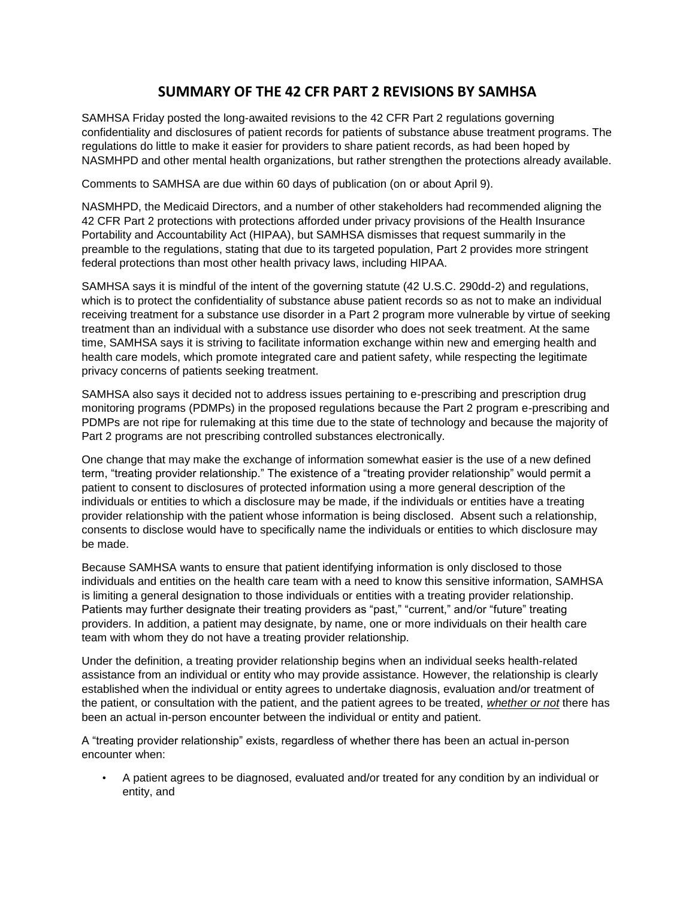# **SUMMARY OF THE 42 CFR PART 2 REVISIONS BY SAMHSA**

SAMHSA Friday posted the long-awaited revisions to the 42 CFR Part 2 regulations governing confidentiality and disclosures of patient records for patients of substance abuse treatment programs. The regulations do little to make it easier for providers to share patient records, as had been hoped by NASMHPD and other mental health organizations, but rather strengthen the protections already available.

Comments to SAMHSA are due within 60 days of publication (on or about April 9).

NASMHPD, the Medicaid Directors, and a number of other stakeholders had recommended aligning the 42 CFR Part 2 protections with protections afforded under privacy provisions of the Health Insurance Portability and Accountability Act (HIPAA), but SAMHSA dismisses that request summarily in the preamble to the regulations, stating that due to its targeted population, Part 2 provides more stringent federal protections than most other health privacy laws, including HIPAA.

SAMHSA says it is mindful of the intent of the governing statute (42 U.S.C. 290dd-2) and regulations, which is to protect the confidentiality of substance abuse patient records so as not to make an individual receiving treatment for a substance use disorder in a Part 2 program more vulnerable by virtue of seeking treatment than an individual with a substance use disorder who does not seek treatment. At the same time, SAMHSA says it is striving to facilitate information exchange within new and emerging health and health care models, which promote integrated care and patient safety, while respecting the legitimate privacy concerns of patients seeking treatment.

SAMHSA also says it decided not to address issues pertaining to e-prescribing and prescription drug monitoring programs (PDMPs) in the proposed regulations because the Part 2 program e-prescribing and PDMPs are not ripe for rulemaking at this time due to the state of technology and because the majority of Part 2 programs are not prescribing controlled substances electronically.

One change that may make the exchange of information somewhat easier is the use of a new defined term, "treating provider relationship." The existence of a "treating provider relationship" would permit a patient to consent to disclosures of protected information using a more general description of the individuals or entities to which a disclosure may be made, if the individuals or entities have a treating provider relationship with the patient whose information is being disclosed. Absent such a relationship, consents to disclose would have to specifically name the individuals or entities to which disclosure may be made.

Because SAMHSA wants to ensure that patient identifying information is only disclosed to those individuals and entities on the health care team with a need to know this sensitive information, SAMHSA is limiting a general designation to those individuals or entities with a treating provider relationship. Patients may further designate their treating providers as "past," "current," and/or "future" treating providers. In addition, a patient may designate, by name, one or more individuals on their health care team with whom they do not have a treating provider relationship.

Under the definition, a treating provider relationship begins when an individual seeks health-related assistance from an individual or entity who may provide assistance. However, the relationship is clearly established when the individual or entity agrees to undertake diagnosis, evaluation and/or treatment of the patient, or consultation with the patient, and the patient agrees to be treated, *whether or not* there has been an actual in-person encounter between the individual or entity and patient.

A "treating provider relationship" exists, regardless of whether there has been an actual in-person encounter when:

• A patient agrees to be diagnosed, evaluated and/or treated for any condition by an individual or entity, and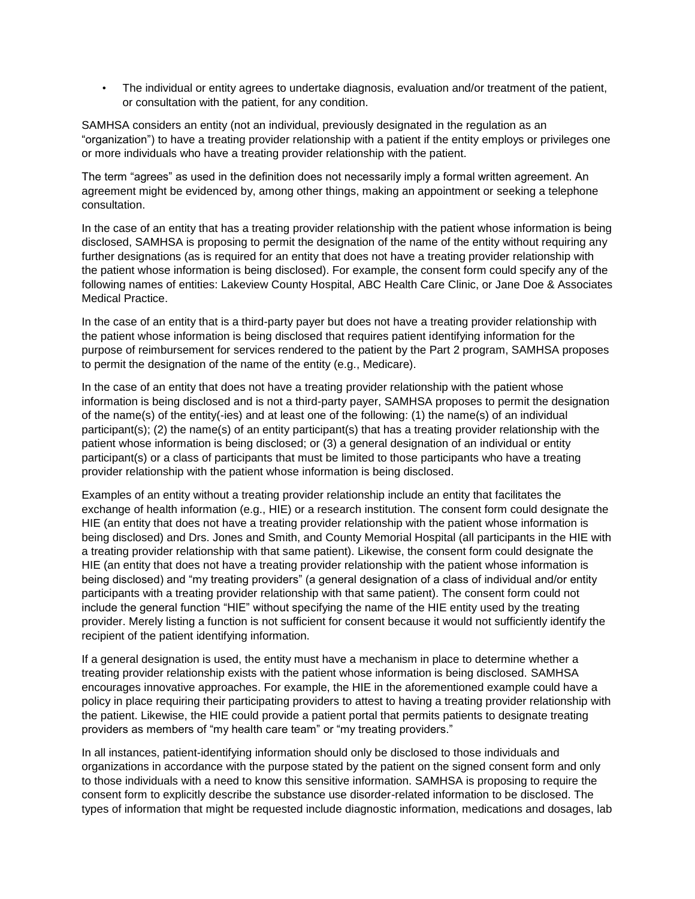• The individual or entity agrees to undertake diagnosis, evaluation and/or treatment of the patient, or consultation with the patient, for any condition.

SAMHSA considers an entity (not an individual, previously designated in the regulation as an "organization") to have a treating provider relationship with a patient if the entity employs or privileges one or more individuals who have a treating provider relationship with the patient.

The term "agrees" as used in the definition does not necessarily imply a formal written agreement. An agreement might be evidenced by, among other things, making an appointment or seeking a telephone consultation.

In the case of an entity that has a treating provider relationship with the patient whose information is being disclosed, SAMHSA is proposing to permit the designation of the name of the entity without requiring any further designations (as is required for an entity that does not have a treating provider relationship with the patient whose information is being disclosed). For example, the consent form could specify any of the following names of entities: Lakeview County Hospital, ABC Health Care Clinic, or Jane Doe & Associates Medical Practice.

In the case of an entity that is a third-party payer but does not have a treating provider relationship with the patient whose information is being disclosed that requires patient identifying information for the purpose of reimbursement for services rendered to the patient by the Part 2 program, SAMHSA proposes to permit the designation of the name of the entity (e.g., Medicare).

In the case of an entity that does not have a treating provider relationship with the patient whose information is being disclosed and is not a third-party payer, SAMHSA proposes to permit the designation of the name(s) of the entity(-ies) and at least one of the following: (1) the name(s) of an individual participant(s); (2) the name(s) of an entity participant(s) that has a treating provider relationship with the patient whose information is being disclosed; or (3) a general designation of an individual or entity participant(s) or a class of participants that must be limited to those participants who have a treating provider relationship with the patient whose information is being disclosed.

Examples of an entity without a treating provider relationship include an entity that facilitates the exchange of health information (e.g., HIE) or a research institution. The consent form could designate the HIE (an entity that does not have a treating provider relationship with the patient whose information is being disclosed) and Drs. Jones and Smith, and County Memorial Hospital (all participants in the HIE with a treating provider relationship with that same patient). Likewise, the consent form could designate the HIE (an entity that does not have a treating provider relationship with the patient whose information is being disclosed) and "my treating providers" (a general designation of a class of individual and/or entity participants with a treating provider relationship with that same patient). The consent form could not include the general function "HIE" without specifying the name of the HIE entity used by the treating provider. Merely listing a function is not sufficient for consent because it would not sufficiently identify the recipient of the patient identifying information.

If a general designation is used, the entity must have a mechanism in place to determine whether a treating provider relationship exists with the patient whose information is being disclosed. SAMHSA encourages innovative approaches. For example, the HIE in the aforementioned example could have a policy in place requiring their participating providers to attest to having a treating provider relationship with the patient. Likewise, the HIE could provide a patient portal that permits patients to designate treating providers as members of "my health care team" or "my treating providers."

In all instances, patient-identifying information should only be disclosed to those individuals and organizations in accordance with the purpose stated by the patient on the signed consent form and only to those individuals with a need to know this sensitive information. SAMHSA is proposing to require the consent form to explicitly describe the substance use disorder-related information to be disclosed. The types of information that might be requested include diagnostic information, medications and dosages, lab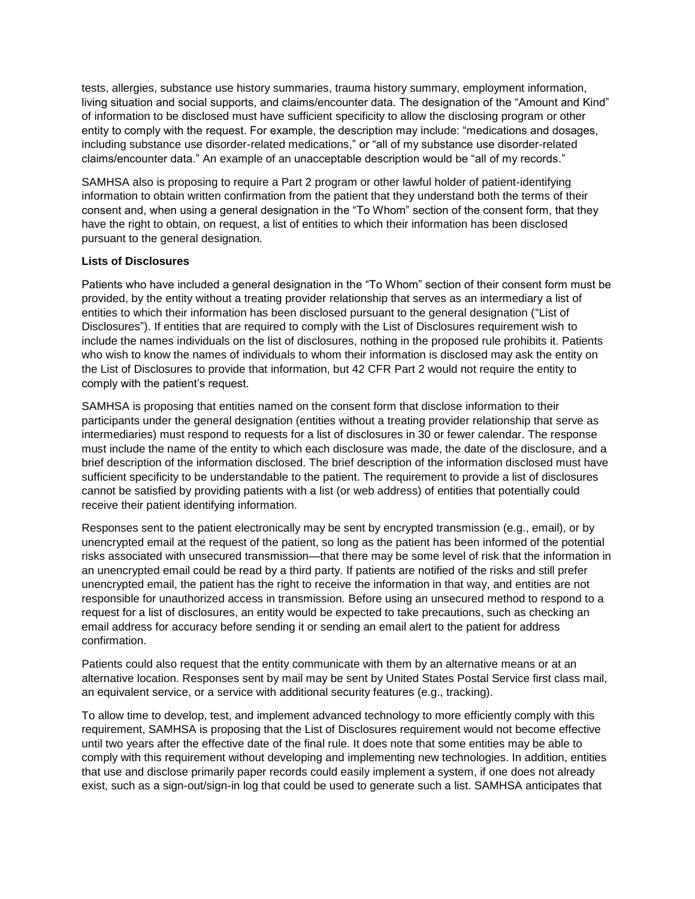tests, allergies, substance use history summaries, trauma history summary, employment information, living situation and social supports, and claims/encounter data. The designation of the "Amount and Kind" of information to be disclosed must have sufficient specificity to allow the disclosing program or other entity to comply with the request. For example, the description may include: "medications and dosages, including substance use disorder-related medications," or "all of my substance use disorder-related claims/encounter data." An example of an unacceptable description would be "all of my records."

SAMHSA also is proposing to require a Part 2 program or other lawful holder of patient-identifying information to obtain written confirmation from the patient that they understand both the terms of their consent and, when using a general designation in the "To Whom" section of the consent form, that they have the right to obtain, on request, a list of entities to which their information has been disclosed pursuant to the general designation.

# **Lists of Disclosures**

Patients who have included a general designation in the "To Whom" section of their consent form must be provided, by the entity without a treating provider relationship that serves as an intermediary a list of entities to which their information has been disclosed pursuant to the general designation ("List of Disclosures"). If entities that are required to comply with the List of Disclosures requirement wish to include the names individuals on the list of disclosures, nothing in the proposed rule prohibits it. Patients who wish to know the names of individuals to whom their information is disclosed may ask the entity on the List of Disclosures to provide that information, but 42 CFR Part 2 would not require the entity to comply with the patient's request.

SAMHSA is proposing that entities named on the consent form that disclose information to their participants under the general designation (entities without a treating provider relationship that serve as intermediaries) must respond to requests for a list of disclosures in 30 or fewer calendar. The response must include the name of the entity to which each disclosure was made, the date of the disclosure, and a brief description of the information disclosed. The brief description of the information disclosed must have sufficient specificity to be understandable to the patient. The requirement to provide a list of disclosures cannot be satisfied by providing patients with a list (or web address) of entities that potentially could receive their patient identifying information.

Responses sent to the patient electronically may be sent by encrypted transmission (e.g., email), or by unencrypted email at the request of the patient, so long as the patient has been informed of the potential risks associated with unsecured transmission—that there may be some level of risk that the information in an unencrypted email could be read by a third party. If patients are notified of the risks and still prefer unencrypted email, the patient has the right to receive the information in that way, and entities are not responsible for unauthorized access in transmission. Before using an unsecured method to respond to a request for a list of disclosures, an entity would be expected to take precautions, such as checking an email address for accuracy before sending it or sending an email alert to the patient for address confirmation.

Patients could also request that the entity communicate with them by an alternative means or at an alternative location. Responses sent by mail may be sent by United States Postal Service first class mail, an equivalent service, or a service with additional security features (e.g., tracking).

To allow time to develop, test, and implement advanced technology to more efficiently comply with this requirement, SAMHSA is proposing that the List of Disclosures requirement would not become effective until two years after the effective date of the final rule. It does note that some entities may be able to comply with this requirement without developing and implementing new technologies. In addition, entities that use and disclose primarily paper records could easily implement a system, if one does not already exist, such as a sign-out/sign-in log that could be used to generate such a list. SAMHSA anticipates that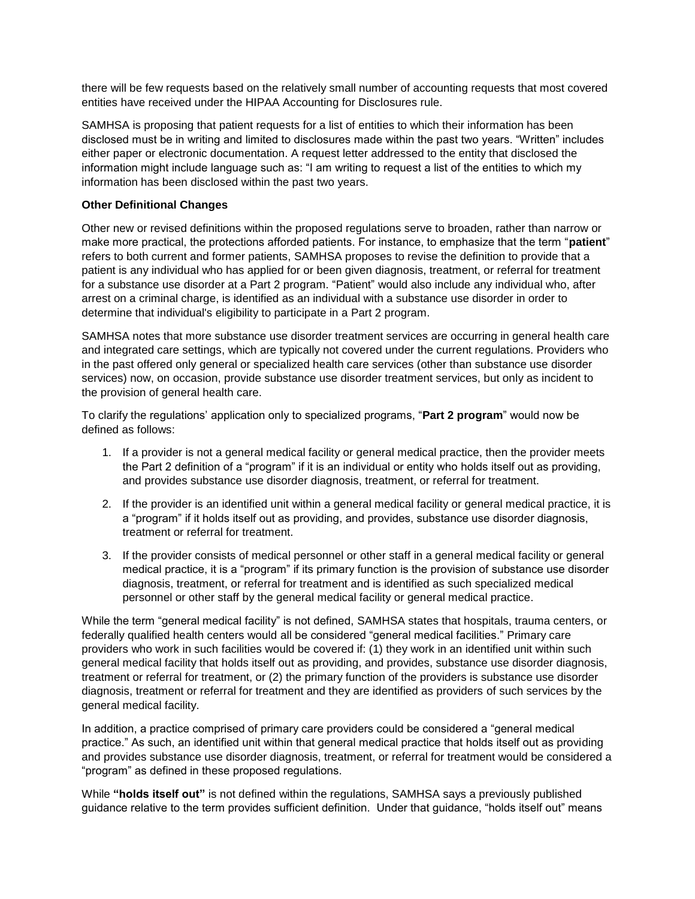there will be few requests based on the relatively small number of accounting requests that most covered entities have received under the HIPAA Accounting for Disclosures rule.

SAMHSA is proposing that patient requests for a list of entities to which their information has been disclosed must be in writing and limited to disclosures made within the past two years. "Written" includes either paper or electronic documentation. A request letter addressed to the entity that disclosed the information might include language such as: "I am writing to request a list of the entities to which my information has been disclosed within the past two years.

#### **Other Definitional Changes**

Other new or revised definitions within the proposed regulations serve to broaden, rather than narrow or make more practical, the protections afforded patients. For instance, to emphasize that the term "**patient**" refers to both current and former patients, SAMHSA proposes to revise the definition to provide that a patient is any individual who has applied for or been given diagnosis, treatment, or referral for treatment for a substance use disorder at a Part 2 program. "Patient" would also include any individual who, after arrest on a criminal charge, is identified as an individual with a substance use disorder in order to determine that individual's eligibility to participate in a Part 2 program.

SAMHSA notes that more substance use disorder treatment services are occurring in general health care and integrated care settings, which are typically not covered under the current regulations. Providers who in the past offered only general or specialized health care services (other than substance use disorder services) now, on occasion, provide substance use disorder treatment services, but only as incident to the provision of general health care.

To clarify the regulations' application only to specialized programs, "**Part 2 program**" would now be defined as follows:

- 1. If a provider is not a general medical facility or general medical practice, then the provider meets the Part 2 definition of a "program" if it is an individual or entity who holds itself out as providing, and provides substance use disorder diagnosis, treatment, or referral for treatment.
- 2. If the provider is an identified unit within a general medical facility or general medical practice, it is a "program" if it holds itself out as providing, and provides, substance use disorder diagnosis, treatment or referral for treatment.
- 3. If the provider consists of medical personnel or other staff in a general medical facility or general medical practice, it is a "program" if its primary function is the provision of substance use disorder diagnosis, treatment, or referral for treatment and is identified as such specialized medical personnel or other staff by the general medical facility or general medical practice.

While the term "general medical facility" is not defined, SAMHSA states that hospitals, trauma centers, or federally qualified health centers would all be considered "general medical facilities." Primary care providers who work in such facilities would be covered if: (1) they work in an identified unit within such general medical facility that holds itself out as providing, and provides, substance use disorder diagnosis, treatment or referral for treatment, or (2) the primary function of the providers is substance use disorder diagnosis, treatment or referral for treatment and they are identified as providers of such services by the general medical facility.

In addition, a practice comprised of primary care providers could be considered a "general medical practice." As such, an identified unit within that general medical practice that holds itself out as providing and provides substance use disorder diagnosis, treatment, or referral for treatment would be considered a "program" as defined in these proposed regulations.

While **"holds itself out"** is not defined within the regulations, SAMHSA says a previously published guidance relative to the term provides sufficient definition. Under that guidance, "holds itself out" means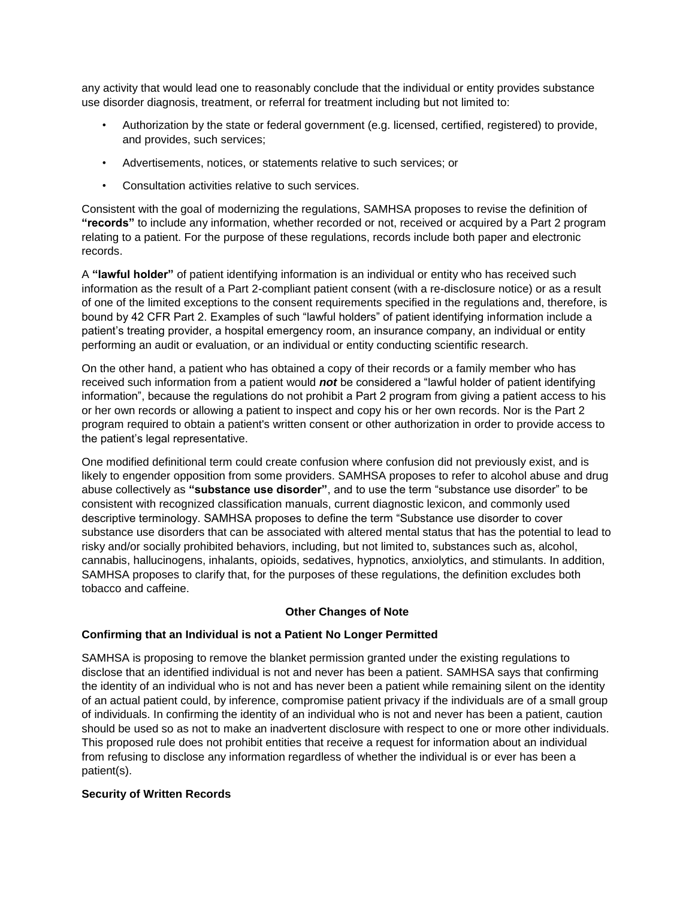any activity that would lead one to reasonably conclude that the individual or entity provides substance use disorder diagnosis, treatment, or referral for treatment including but not limited to:

- Authorization by the state or federal government (e.g. licensed, certified, registered) to provide, and provides, such services;
- Advertisements, notices, or statements relative to such services; or
- Consultation activities relative to such services.

Consistent with the goal of modernizing the regulations, SAMHSA proposes to revise the definition of **"records"** to include any information, whether recorded or not, received or acquired by a Part 2 program relating to a patient. For the purpose of these regulations, records include both paper and electronic records.

A **"lawful holder"** of patient identifying information is an individual or entity who has received such information as the result of a Part 2-compliant patient consent (with a re-disclosure notice) or as a result of one of the limited exceptions to the consent requirements specified in the regulations and, therefore, is bound by 42 CFR Part 2. Examples of such "lawful holders" of patient identifying information include a patient's treating provider, a hospital emergency room, an insurance company, an individual or entity performing an audit or evaluation, or an individual or entity conducting scientific research.

On the other hand, a patient who has obtained a copy of their records or a family member who has received such information from a patient would *not* be considered a "lawful holder of patient identifying information", because the regulations do not prohibit a Part 2 program from giving a patient access to his or her own records or allowing a patient to inspect and copy his or her own records. Nor is the Part 2 program required to obtain a patient's written consent or other authorization in order to provide access to the patient's legal representative.

One modified definitional term could create confusion where confusion did not previously exist, and is likely to engender opposition from some providers. SAMHSA proposes to refer to alcohol abuse and drug abuse collectively as **"substance use disorder"**, and to use the term "substance use disorder" to be consistent with recognized classification manuals, current diagnostic lexicon, and commonly used descriptive terminology. SAMHSA proposes to define the term "Substance use disorder to cover substance use disorders that can be associated with altered mental status that has the potential to lead to risky and/or socially prohibited behaviors, including, but not limited to, substances such as, alcohol, cannabis, hallucinogens, inhalants, opioids, sedatives, hypnotics, anxiolytics, and stimulants. In addition, SAMHSA proposes to clarify that, for the purposes of these regulations, the definition excludes both tobacco and caffeine.

# **Other Changes of Note**

#### **Confirming that an Individual is not a Patient No Longer Permitted**

SAMHSA is proposing to remove the blanket permission granted under the existing regulations to disclose that an identified individual is not and never has been a patient. SAMHSA says that confirming the identity of an individual who is not and has never been a patient while remaining silent on the identity of an actual patient could, by inference, compromise patient privacy if the individuals are of a small group of individuals. In confirming the identity of an individual who is not and never has been a patient, caution should be used so as not to make an inadvertent disclosure with respect to one or more other individuals. This proposed rule does not prohibit entities that receive a request for information about an individual from refusing to disclose any information regardless of whether the individual is or ever has been a patient(s).

#### **Security of Written Records**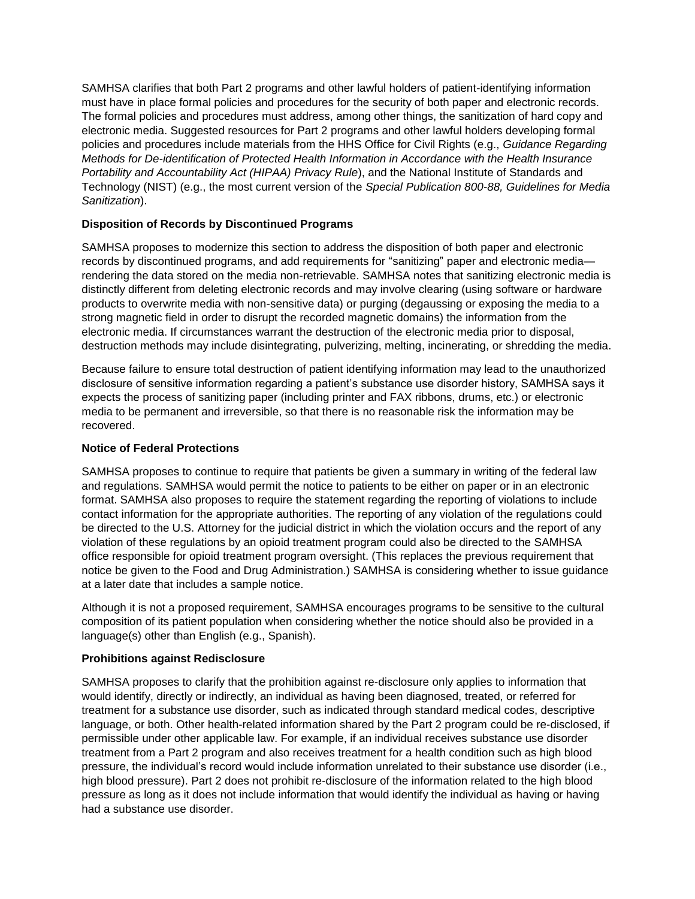SAMHSA clarifies that both Part 2 programs and other lawful holders of patient-identifying information must have in place formal policies and procedures for the security of both paper and electronic records. The formal policies and procedures must address, among other things, the sanitization of hard copy and electronic media. Suggested resources for Part 2 programs and other lawful holders developing formal policies and procedures include materials from the HHS Office for Civil Rights (e.g., *Guidance Regarding Methods for De-identification of Protected Health Information in Accordance with the Health Insurance Portability and Accountability Act (HIPAA) Privacy Rule*), and the National Institute of Standards and Technology (NIST) (e.g., the most current version of the *Special Publication 800-88, Guidelines for Media Sanitization*).

# **Disposition of Records by Discontinued Programs**

SAMHSA proposes to modernize this section to address the disposition of both paper and electronic records by discontinued programs, and add requirements for "sanitizing" paper and electronic media rendering the data stored on the media non-retrievable. SAMHSA notes that sanitizing electronic media is distinctly different from deleting electronic records and may involve clearing (using software or hardware products to overwrite media with non-sensitive data) or purging (degaussing or exposing the media to a strong magnetic field in order to disrupt the recorded magnetic domains) the information from the electronic media. If circumstances warrant the destruction of the electronic media prior to disposal, destruction methods may include disintegrating, pulverizing, melting, incinerating, or shredding the media.

Because failure to ensure total destruction of patient identifying information may lead to the unauthorized disclosure of sensitive information regarding a patient's substance use disorder history, SAMHSA says it expects the process of sanitizing paper (including printer and FAX ribbons, drums, etc.) or electronic media to be permanent and irreversible, so that there is no reasonable risk the information may be recovered.

## **Notice of Federal Protections**

SAMHSA proposes to continue to require that patients be given a summary in writing of the federal law and regulations. SAMHSA would permit the notice to patients to be either on paper or in an electronic format. SAMHSA also proposes to require the statement regarding the reporting of violations to include contact information for the appropriate authorities. The reporting of any violation of the regulations could be directed to the U.S. Attorney for the judicial district in which the violation occurs and the report of any violation of these regulations by an opioid treatment program could also be directed to the SAMHSA office responsible for opioid treatment program oversight. (This replaces the previous requirement that notice be given to the Food and Drug Administration.) SAMHSA is considering whether to issue guidance at a later date that includes a sample notice.

Although it is not a proposed requirement, SAMHSA encourages programs to be sensitive to the cultural composition of its patient population when considering whether the notice should also be provided in a language(s) other than English (e.g., Spanish).

# **Prohibitions against Redisclosure**

SAMHSA proposes to clarify that the prohibition against re-disclosure only applies to information that would identify, directly or indirectly, an individual as having been diagnosed, treated, or referred for treatment for a substance use disorder, such as indicated through standard medical codes, descriptive language, or both. Other health-related information shared by the Part 2 program could be re-disclosed, if permissible under other applicable law. For example, if an individual receives substance use disorder treatment from a Part 2 program and also receives treatment for a health condition such as high blood pressure, the individual's record would include information unrelated to their substance use disorder (i.e., high blood pressure). Part 2 does not prohibit re-disclosure of the information related to the high blood pressure as long as it does not include information that would identify the individual as having or having had a substance use disorder.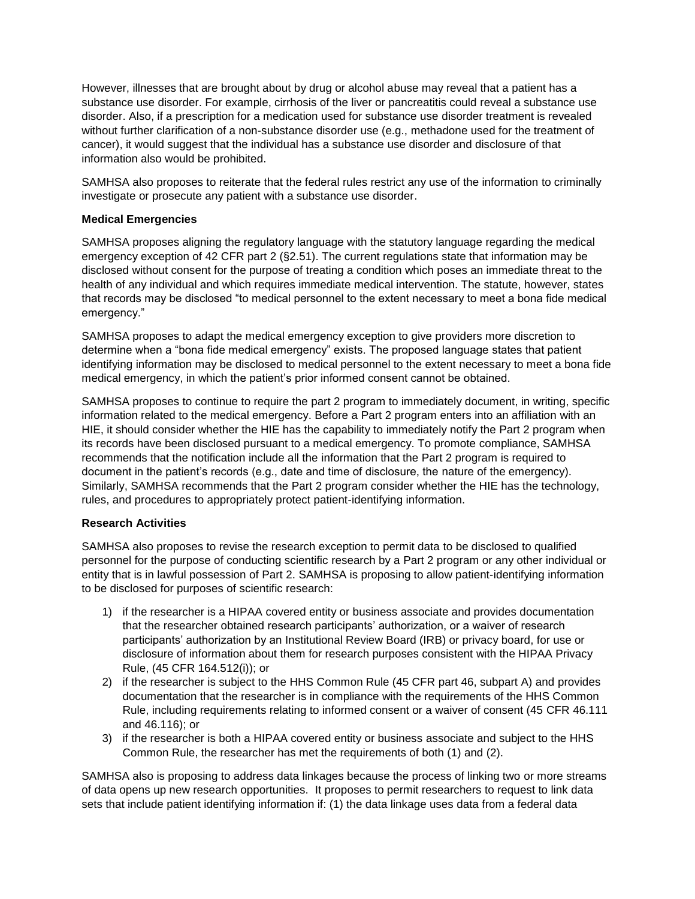However, illnesses that are brought about by drug or alcohol abuse may reveal that a patient has a substance use disorder. For example, cirrhosis of the liver or pancreatitis could reveal a substance use disorder. Also, if a prescription for a medication used for substance use disorder treatment is revealed without further clarification of a non-substance disorder use (e.g., methadone used for the treatment of cancer), it would suggest that the individual has a substance use disorder and disclosure of that information also would be prohibited.

SAMHSA also proposes to reiterate that the federal rules restrict any use of the information to criminally investigate or prosecute any patient with a substance use disorder.

## **Medical Emergencies**

SAMHSA proposes aligning the regulatory language with the statutory language regarding the medical emergency exception of 42 CFR part 2 (§2.51). The current regulations state that information may be disclosed without consent for the purpose of treating a condition which poses an immediate threat to the health of any individual and which requires immediate medical intervention. The statute, however, states that records may be disclosed "to medical personnel to the extent necessary to meet a bona fide medical emergency."

SAMHSA proposes to adapt the medical emergency exception to give providers more discretion to determine when a "bona fide medical emergency" exists. The proposed language states that patient identifying information may be disclosed to medical personnel to the extent necessary to meet a bona fide medical emergency, in which the patient's prior informed consent cannot be obtained.

SAMHSA proposes to continue to require the part 2 program to immediately document, in writing, specific information related to the medical emergency. Before a Part 2 program enters into an affiliation with an HIE, it should consider whether the HIE has the capability to immediately notify the Part 2 program when its records have been disclosed pursuant to a medical emergency. To promote compliance, SAMHSA recommends that the notification include all the information that the Part 2 program is required to document in the patient's records (e.g., date and time of disclosure, the nature of the emergency). Similarly, SAMHSA recommends that the Part 2 program consider whether the HIE has the technology, rules, and procedures to appropriately protect patient-identifying information.

#### **Research Activities**

SAMHSA also proposes to revise the research exception to permit data to be disclosed to qualified personnel for the purpose of conducting scientific research by a Part 2 program or any other individual or entity that is in lawful possession of Part 2. SAMHSA is proposing to allow patient-identifying information to be disclosed for purposes of scientific research:

- 1) if the researcher is a HIPAA covered entity or business associate and provides documentation that the researcher obtained research participants' authorization, or a waiver of research participants' authorization by an Institutional Review Board (IRB) or privacy board, for use or disclosure of information about them for research purposes consistent with the HIPAA Privacy Rule, (45 CFR 164.512(i)); or
- 2) if the researcher is subject to the HHS Common Rule (45 CFR part 46, subpart A) and provides documentation that the researcher is in compliance with the requirements of the HHS Common Rule, including requirements relating to informed consent or a waiver of consent (45 CFR 46.111 and 46.116); or
- 3) if the researcher is both a HIPAA covered entity or business associate and subject to the HHS Common Rule, the researcher has met the requirements of both (1) and (2).

SAMHSA also is proposing to address data linkages because the process of linking two or more streams of data opens up new research opportunities. It proposes to permit researchers to request to link data sets that include patient identifying information if: (1) the data linkage uses data from a federal data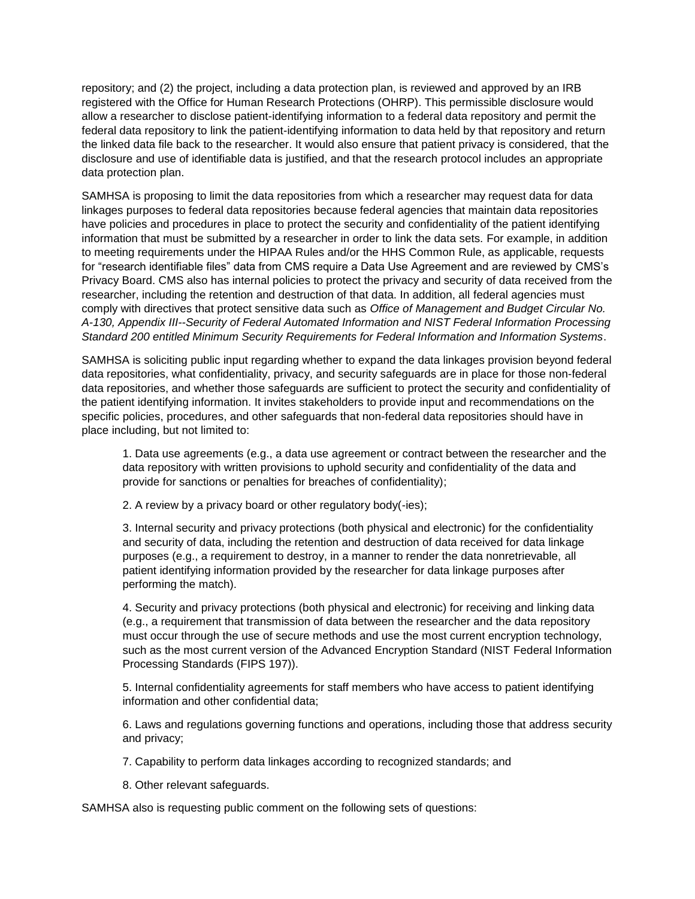repository; and (2) the project, including a data protection plan, is reviewed and approved by an IRB registered with the Office for Human Research Protections (OHRP). This permissible disclosure would allow a researcher to disclose patient-identifying information to a federal data repository and permit the federal data repository to link the patient-identifying information to data held by that repository and return the linked data file back to the researcher. It would also ensure that patient privacy is considered, that the disclosure and use of identifiable data is justified, and that the research protocol includes an appropriate data protection plan.

SAMHSA is proposing to limit the data repositories from which a researcher may request data for data linkages purposes to federal data repositories because federal agencies that maintain data repositories have policies and procedures in place to protect the security and confidentiality of the patient identifying information that must be submitted by a researcher in order to link the data sets. For example, in addition to meeting requirements under the HIPAA Rules and/or the HHS Common Rule, as applicable, requests for "research identifiable files" data from CMS require a Data Use Agreement and are reviewed by CMS's Privacy Board. CMS also has internal policies to protect the privacy and security of data received from the researcher, including the retention and destruction of that data. In addition, all federal agencies must comply with directives that protect sensitive data such as *Office of Management and Budget Circular No. A-130, Appendix III--Security of Federal Automated Information and NIST Federal Information Processing Standard 200 entitled Minimum Security Requirements for Federal Information and Information Systems*.

SAMHSA is soliciting public input regarding whether to expand the data linkages provision beyond federal data repositories, what confidentiality, privacy, and security safeguards are in place for those non-federal data repositories, and whether those safeguards are sufficient to protect the security and confidentiality of the patient identifying information. It invites stakeholders to provide input and recommendations on the specific policies, procedures, and other safeguards that non-federal data repositories should have in place including, but not limited to:

1. Data use agreements (e.g., a data use agreement or contract between the researcher and the data repository with written provisions to uphold security and confidentiality of the data and provide for sanctions or penalties for breaches of confidentiality);

2. A review by a privacy board or other regulatory body(-ies);

3. Internal security and privacy protections (both physical and electronic) for the confidentiality and security of data, including the retention and destruction of data received for data linkage purposes (e.g., a requirement to destroy, in a manner to render the data nonretrievable, all patient identifying information provided by the researcher for data linkage purposes after performing the match).

4. Security and privacy protections (both physical and electronic) for receiving and linking data (e.g., a requirement that transmission of data between the researcher and the data repository must occur through the use of secure methods and use the most current encryption technology, such as the most current version of the Advanced Encryption Standard (NIST Federal Information Processing Standards (FIPS 197)).

5. Internal confidentiality agreements for staff members who have access to patient identifying information and other confidential data;

6. Laws and regulations governing functions and operations, including those that address security and privacy;

7. Capability to perform data linkages according to recognized standards; and

8. Other relevant safeguards.

SAMHSA also is requesting public comment on the following sets of questions: